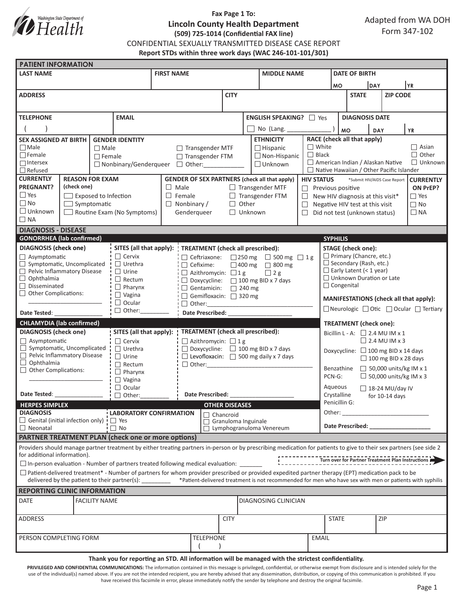

# **Fax Page 1 To: Lincoln County Health Department (509) 725-1014 (Confidential FAX line)**

CONFIDENTIAL SEXUALLY TRANSMITTED DISEASE CASE REPORT

**Report STDs within three work days (WAC 246-101-101/301)**

| <b>PATIENT INFORMATION</b>                                                                                                                                                                                                    |                                                                                                                                                                                                                                                                                                                                                                                                                                  |               |                                                  |                                                                     |                                                       |                         |                                                                                |                                                    |                                                             |                                                                                                                                                                                                                                |                                        |                 |           |                |  |  |
|-------------------------------------------------------------------------------------------------------------------------------------------------------------------------------------------------------------------------------|----------------------------------------------------------------------------------------------------------------------------------------------------------------------------------------------------------------------------------------------------------------------------------------------------------------------------------------------------------------------------------------------------------------------------------|---------------|--------------------------------------------------|---------------------------------------------------------------------|-------------------------------------------------------|-------------------------|--------------------------------------------------------------------------------|----------------------------------------------------|-------------------------------------------------------------|--------------------------------------------------------------------------------------------------------------------------------------------------------------------------------------------------------------------------------|----------------------------------------|-----------------|-----------|----------------|--|--|
| <b>LAST NAME</b>                                                                                                                                                                                                              |                                                                                                                                                                                                                                                                                                                                                                                                                                  |               |                                                  | <b>FIRST NAME</b>                                                   |                                                       |                         |                                                                                | <b>MIDDLE NAME</b>                                 |                                                             |                                                                                                                                                                                                                                | <b>DATE OF BIRTH</b>                   |                 |           |                |  |  |
|                                                                                                                                                                                                                               |                                                                                                                                                                                                                                                                                                                                                                                                                                  |               |                                                  |                                                                     |                                                       |                         |                                                                                |                                                    |                                                             |                                                                                                                                                                                                                                | DAY<br><b>MO</b>                       |                 | YR        |                |  |  |
| <b>ADDRESS</b>                                                                                                                                                                                                                |                                                                                                                                                                                                                                                                                                                                                                                                                                  |               |                                                  |                                                                     | <b>CITY</b>                                           |                         |                                                                                |                                                    |                                                             | <b>STATE</b>                                                                                                                                                                                                                   |                                        | <b>ZIP CODE</b> |           |                |  |  |
|                                                                                                                                                                                                                               |                                                                                                                                                                                                                                                                                                                                                                                                                                  |               |                                                  |                                                                     |                                                       |                         |                                                                                |                                                    |                                                             |                                                                                                                                                                                                                                |                                        |                 |           |                |  |  |
| <b>TELEPHONE</b><br><b>EMAIL</b>                                                                                                                                                                                              |                                                                                                                                                                                                                                                                                                                                                                                                                                  |               |                                                  |                                                                     |                                                       | ENGLISH SPEAKING?   Yes |                                                                                |                                                    |                                                             |                                                                                                                                                                                                                                | <b>DIAGNOSIS DATE</b>                  |                 |           |                |  |  |
|                                                                                                                                                                                                                               |                                                                                                                                                                                                                                                                                                                                                                                                                                  |               |                                                  |                                                                     |                                                       |                         | No (Lang. _____                                                                |                                                    |                                                             | <b>MO</b><br><b>YR</b><br>DAY                                                                                                                                                                                                  |                                        |                 |           |                |  |  |
| <b>SEX ASSIGNED AT BIRTH</b><br><b>GENDER IDENTITY</b>                                                                                                                                                                        |                                                                                                                                                                                                                                                                                                                                                                                                                                  |               |                                                  |                                                                     |                                                       |                         | <b>ETHNICITY</b>                                                               |                                                    |                                                             | RACE (check all that apply)                                                                                                                                                                                                    |                                        |                 |           |                |  |  |
| $\Box$ Male                                                                                                                                                                                                                   |                                                                                                                                                                                                                                                                                                                                                                                                                                  | $\Box$ Male   |                                                  |                                                                     | $\Box$ Transgender MTF<br>$\Box$ Hispanic             |                         |                                                                                | $\Box$ White                                       | $\Box$ Asian                                                |                                                                                                                                                                                                                                |                                        |                 |           |                |  |  |
| $\Box$ Female                                                                                                                                                                                                                 |                                                                                                                                                                                                                                                                                                                                                                                                                                  | $\Box$ Female |                                                  |                                                                     | □ Transgender FTM                                     |                         |                                                                                | $\Box$ Non-Hispanic                                | $\Box$ Black                                                |                                                                                                                                                                                                                                |                                        |                 |           | $\Box$ Other   |  |  |
| $\Box$ Intersex                                                                                                                                                                                                               |                                                                                                                                                                                                                                                                                                                                                                                                                                  |               |                                                  | $\Box$ Nonbinary/Genderqueer $\Box$ Other:                          |                                                       |                         |                                                                                | American Indian / Alaskan Native<br>$\Box$ Unknown |                                                             |                                                                                                                                                                                                                                |                                        |                 |           | $\Box$ Unknown |  |  |
| $\Box$ Refused<br><b>CURRENTLY</b><br><b>REASON FOR EXAM</b>                                                                                                                                                                  |                                                                                                                                                                                                                                                                                                                                                                                                                                  |               |                                                  |                                                                     |                                                       |                         |                                                                                | $\Box$ Native Hawaiian / Other Pacific Islander    |                                                             |                                                                                                                                                                                                                                |                                        |                 |           |                |  |  |
| <b>PREGNANT?</b><br>(check one)                                                                                                                                                                                               |                                                                                                                                                                                                                                                                                                                                                                                                                                  |               |                                                  | $\Box$ Male                                                         |                                                       |                         | <b>GENDER OF SEX PARTNERS (check all that apply)</b><br>$\Box$ Transgender MTF |                                                    |                                                             | <b>HIV STATUS</b><br>*Submit HIV/AIDS Case Report<br><b>CURRENTLY</b><br>ON PrEP?<br>$\Box$ Previous positive                                                                                                                  |                                        |                 |           |                |  |  |
| $\Box$ Yes                                                                                                                                                                                                                    | $\Box$ Exposed to Infection                                                                                                                                                                                                                                                                                                                                                                                                      |               |                                                  | $\Box$ Female                                                       |                                                       |                         | $\Box$ Transgender FTM                                                         |                                                    |                                                             | $\Box$ Yes<br>$\Box$ New HIV diagnosis at this visit*                                                                                                                                                                          |                                        |                 |           |                |  |  |
| $\Box$ No<br>$\Box$ Symptomatic                                                                                                                                                                                               |                                                                                                                                                                                                                                                                                                                                                                                                                                  |               |                                                  | $\Box$ Nonbinary /                                                  | Other<br>$\Box$                                       |                         |                                                                                | $\Box$                                             | $\Box$ No<br>Negative HIV test at this visit                |                                                                                                                                                                                                                                |                                        |                 |           |                |  |  |
| $\Box$ Unknown                                                                                                                                                                                                                |                                                                                                                                                                                                                                                                                                                                                                                                                                  |               | Routine Exam (No Symptoms)                       |                                                                     | Genderqueer                                           | $\Box$ Unknown          |                                                                                |                                                    | $\Box$ Did not test (unknown status)                        |                                                                                                                                                                                                                                |                                        |                 | $\Box$ NA |                |  |  |
| $\Box$ NA                                                                                                                                                                                                                     |                                                                                                                                                                                                                                                                                                                                                                                                                                  |               |                                                  |                                                                     |                                                       |                         |                                                                                |                                                    |                                                             |                                                                                                                                                                                                                                |                                        |                 |           |                |  |  |
| <b>DIAGNOSIS - DISEASE</b>                                                                                                                                                                                                    |                                                                                                                                                                                                                                                                                                                                                                                                                                  |               |                                                  |                                                                     |                                                       |                         |                                                                                |                                                    |                                                             |                                                                                                                                                                                                                                |                                        |                 |           |                |  |  |
| <b>GONORRHEA</b> (lab confirmed)                                                                                                                                                                                              |                                                                                                                                                                                                                                                                                                                                                                                                                                  |               |                                                  |                                                                     |                                                       |                         |                                                                                |                                                    |                                                             | <b>SYPHILIS</b>                                                                                                                                                                                                                |                                        |                 |           |                |  |  |
| <b>DIAGNOSIS</b> (check one)                                                                                                                                                                                                  |                                                                                                                                                                                                                                                                                                                                                                                                                                  |               | $\Box$ Cervix                                    | SITES (all that apply):<br><b>TREATMENT</b> (check all prescribed): |                                                       |                         |                                                                                |                                                    | <b>STAGE</b> (check one):<br>$\Box$ Primary (Chancre, etc.) |                                                                                                                                                                                                                                |                                        |                 |           |                |  |  |
| $\Box$ Asymptomatic<br>$\Box$ Symptomatic, Uncomplicated                                                                                                                                                                      |                                                                                                                                                                                                                                                                                                                                                                                                                                  |               | $\Box$ Urethra                                   | $\Box$ Ceftriaxone:<br>$\Box$ Cefixime:                             | □ 250 mg □ 500 mg □ 1g<br>$\Box$ 400 mg $\Box$ 800 mg |                         |                                                                                |                                                    |                                                             | $\Box$ Secondary (Rash, etc.)                                                                                                                                                                                                  |                                        |                 |           |                |  |  |
| Pelvic Inflammatory Disease                                                                                                                                                                                                   |                                                                                                                                                                                                                                                                                                                                                                                                                                  |               | $\Box$ Urine                                     | $\Box$ Azithromycin: $\Box$ 1 g<br>$\Box$ 2 g                       |                                                       |                         |                                                                                |                                                    |                                                             | $\Box$ Early Latent (< 1 year)                                                                                                                                                                                                 |                                        |                 |           |                |  |  |
| $\Box$ Ophthalmia                                                                                                                                                                                                             |                                                                                                                                                                                                                                                                                                                                                                                                                                  |               | $\Box$ Rectum                                    | $\Box$ Doxycycline: $\Box$ 100 mg BID x 7 days                      |                                                       |                         |                                                                                |                                                    |                                                             |                                                                                                                                                                                                                                | $\Box$ Unknown Duration or Late        |                 |           |                |  |  |
| $\Box$ Disseminated<br>$\Box$ Other Complications:                                                                                                                                                                            |                                                                                                                                                                                                                                                                                                                                                                                                                                  |               | $\Box$ Pharynx                                   | $\Box$ Gentamicin: $\Box$ 240 mg                                    |                                                       |                         |                                                                                |                                                    |                                                             | $\Box$ Congenital                                                                                                                                                                                                              |                                        |                 |           |                |  |  |
|                                                                                                                                                                                                                               |                                                                                                                                                                                                                                                                                                                                                                                                                                  |               | $\Box$ Vagina<br>$\Box$ Ocular                   | Gemifloxacin: 320 mg<br>$\Box$ Other:                               |                                                       |                         |                                                                                |                                                    |                                                             |                                                                                                                                                                                                                                | MANIFESTATIONS (check all that apply): |                 |           |                |  |  |
| Date Tested:                                                                                                                                                                                                                  |                                                                                                                                                                                                                                                                                                                                                                                                                                  |               | $\Box$ Other:                                    | Date Prescribed: National Prescribed:                               |                                                       |                         |                                                                                |                                                    |                                                             | □ Neurologic □ Otic □ Ocular □ Tertiary                                                                                                                                                                                        |                                        |                 |           |                |  |  |
| <b>CHLAMYDIA</b> (lab confirmed)                                                                                                                                                                                              |                                                                                                                                                                                                                                                                                                                                                                                                                                  |               |                                                  |                                                                     |                                                       |                         |                                                                                |                                                    |                                                             |                                                                                                                                                                                                                                |                                        |                 |           |                |  |  |
| <b>DIAGNOSIS</b> (check one)                                                                                                                                                                                                  |                                                                                                                                                                                                                                                                                                                                                                                                                                  |               | SITES (all that apply):                          | <b>TREATMENT</b> (check all prescribed):                            |                                                       |                         |                                                                                |                                                    |                                                             | <b>TREATMENT</b> (check one):<br>Bicillin L - A: $\Box$ 2.4 MU IM x 1                                                                                                                                                          |                                        |                 |           |                |  |  |
| $\Box$ Asymptomatic                                                                                                                                                                                                           |                                                                                                                                                                                                                                                                                                                                                                                                                                  |               | $\Box$ Cervix<br>$\Box$ Azithromycin: $\Box$ 1 g |                                                                     |                                                       |                         |                                                                                |                                                    |                                                             | $\Box$ 2.4 MU IM x 3                                                                                                                                                                                                           |                                        |                 |           |                |  |  |
| $\Box$ Symptomatic, Uncomplicated                                                                                                                                                                                             |                                                                                                                                                                                                                                                                                                                                                                                                                                  |               | $\Box$ Urethra                                   |                                                                     | $\Box$ Doxycycline: $\Box$ 100 mg BID x 7 days        |                         |                                                                                |                                                    | Doxycycline: $\Box$ 100 mg BID x 14 days                    |                                                                                                                                                                                                                                |                                        |                 |           |                |  |  |
| Pelvic Inflammatory Disease<br>$\Box$ Ophthalmia                                                                                                                                                                              |                                                                                                                                                                                                                                                                                                                                                                                                                                  |               | $\Box$ Urine                                     |                                                                     | $\Box$ Levofloxacin: $\Box$ 500 mg daily x 7 days     |                         |                                                                                |                                                    | $\Box$ 100 mg BID x 28 days                                 |                                                                                                                                                                                                                                |                                        |                 |           |                |  |  |
| Other Complications:                                                                                                                                                                                                          |                                                                                                                                                                                                                                                                                                                                                                                                                                  |               | $\Box$ Rectum<br>$\Box$ Pharynx                  |                                                                     |                                                       |                         |                                                                                |                                                    | $\Box$ 50,000 units/kg IM x 1<br>Benzathine                 |                                                                                                                                                                                                                                |                                        |                 |           |                |  |  |
|                                                                                                                                                                                                                               |                                                                                                                                                                                                                                                                                                                                                                                                                                  | $\Box$ Vagina |                                                  |                                                                     |                                                       |                         |                                                                                |                                                    | $\Box$ 50,000 units/kg IM x 3<br>PCN-G:                     |                                                                                                                                                                                                                                |                                        |                 |           |                |  |  |
|                                                                                                                                                                                                                               |                                                                                                                                                                                                                                                                                                                                                                                                                                  |               | $\Box$ Ocular                                    |                                                                     |                                                       |                         |                                                                                |                                                    |                                                             | Aqueous<br>$\Box$ 18-24 MU/day IV                                                                                                                                                                                              |                                        |                 |           |                |  |  |
| Date Tested: Note that the state of the state of the state of the state of the state of the state of the state of the state of the state of the state of the state of the state of the state of the state of the state of the |                                                                                                                                                                                                                                                                                                                                                                                                                                  |               | $\Box$ Other:                                    | <b>Date Prescribed:</b>                                             |                                                       |                         |                                                                                |                                                    |                                                             | Crystalline<br>for $10-14$ days                                                                                                                                                                                                |                                        |                 |           |                |  |  |
| Penicillin G:<br><b>HERPES SIMPLEX</b><br><b>OTHER DISEASES</b>                                                                                                                                                               |                                                                                                                                                                                                                                                                                                                                                                                                                                  |               |                                                  |                                                                     |                                                       |                         |                                                                                |                                                    |                                                             |                                                                                                                                                                                                                                |                                        |                 |           |                |  |  |
| <b>DIAGNOSIS</b><br>$\Box$ Genital (initial infection only) $\vdash$ $\Box$ Yes                                                                                                                                               |                                                                                                                                                                                                                                                                                                                                                                                                                                  |               |                                                  | <b>LABORATORY CONFIRMATION</b>                                      |                                                       |                         | □ Chancroid<br>$\Box$ Granuloma Inguinale                                      |                                                    |                                                             | Other:<br><u> 1990 - Johann Barbara, martin a</u>                                                                                                                                                                              |                                        |                 |           |                |  |  |
| $\Box$ No<br>$\Box$ Neonatal                                                                                                                                                                                                  |                                                                                                                                                                                                                                                                                                                                                                                                                                  |               |                                                  |                                                                     |                                                       |                         | $\Box$ Lymphogranuloma Venereum                                                |                                                    |                                                             | Date Prescribed: Note that the present of the state of the state of the state of the state of the state of the state of the state of the state of the state of the state of the state of the state of the state of the state o |                                        |                 |           |                |  |  |
| <b>PARTNER TREATMENT PLAN (check one or more options)</b>                                                                                                                                                                     |                                                                                                                                                                                                                                                                                                                                                                                                                                  |               |                                                  |                                                                     |                                                       |                         |                                                                                |                                                    |                                                             |                                                                                                                                                                                                                                |                                        |                 |           |                |  |  |
| Providers should manage partner treatment by either treating partners in-person or by prescribing medication for patients to give to their sex partners (see side 2<br>for additional information).                           |                                                                                                                                                                                                                                                                                                                                                                                                                                  |               |                                                  |                                                                     |                                                       |                         |                                                                                |                                                    |                                                             |                                                                                                                                                                                                                                |                                        |                 |           |                |  |  |
|                                                                                                                                                                                                                               |                                                                                                                                                                                                                                                                                                                                                                                                                                  |               |                                                  |                                                                     |                                                       |                         |                                                                                |                                                    |                                                             |                                                                                                                                                                                                                                |                                        |                 |           |                |  |  |
|                                                                                                                                                                                                                               | $\square$ In-person evaluation - Number of partners treated following medical evaluation: $\square$<br>$\Box$ Patient-delivered treatment* - Number of partners for whom provider prescribed or provided expedited partner therapy (EPT) medication pack to be<br>delivered by the patient to their partner(s): ________ *Patient-delivered treatment is not recommended for men who have sex with men or patients with syphilis |               |                                                  |                                                                     |                                                       |                         |                                                                                |                                                    |                                                             |                                                                                                                                                                                                                                |                                        |                 |           |                |  |  |
| <b>REPORTING CLINIC INFORMATION</b>                                                                                                                                                                                           |                                                                                                                                                                                                                                                                                                                                                                                                                                  |               |                                                  |                                                                     |                                                       |                         |                                                                                |                                                    |                                                             |                                                                                                                                                                                                                                |                                        |                 |           |                |  |  |
| <b>DATE</b><br><b>FACILITY NAME</b><br>DIAGNOSING CLINICIAN                                                                                                                                                                   |                                                                                                                                                                                                                                                                                                                                                                                                                                  |               |                                                  |                                                                     |                                                       |                         |                                                                                |                                                    |                                                             |                                                                                                                                                                                                                                |                                        |                 |           |                |  |  |
| ADDRESS                                                                                                                                                                                                                       |                                                                                                                                                                                                                                                                                                                                                                                                                                  |               |                                                  | <b>CITY</b>                                                         |                                                       |                         |                                                                                |                                                    | <b>STATE</b>                                                |                                                                                                                                                                                                                                |                                        | ZIP             |           |                |  |  |
| PERSON COMPLETING FORM                                                                                                                                                                                                        |                                                                                                                                                                                                                                                                                                                                                                                                                                  |               |                                                  |                                                                     |                                                       | <b>TELEPHONE</b>        |                                                                                |                                                    | <b>EMAIL</b>                                                |                                                                                                                                                                                                                                |                                        |                 |           |                |  |  |
| Thank you for reporting an STD. All information will be managed with the strictest confidentiality.                                                                                                                           |                                                                                                                                                                                                                                                                                                                                                                                                                                  |               |                                                  |                                                                     |                                                       |                         |                                                                                |                                                    |                                                             |                                                                                                                                                                                                                                |                                        |                 |           |                |  |  |
|                                                                                                                                                                                                                               |                                                                                                                                                                                                                                                                                                                                                                                                                                  |               |                                                  |                                                                     |                                                       |                         |                                                                                |                                                    |                                                             |                                                                                                                                                                                                                                |                                        |                 |           |                |  |  |

PRIVILEGED AND CONFIDENTIAL COMMUNICATIONS: The information contained in this message is privileged, confidential, or otherwise exempt from disclosure and is intended solely for the use of the individual(s) named above. If you are not the intended recipient, you are hereby advised that any dissemination, distribution, or copying of this communication is prohibited. If you have received this facsimile in error, please immediately notify the sender by telephone and destroy the original facsimile.